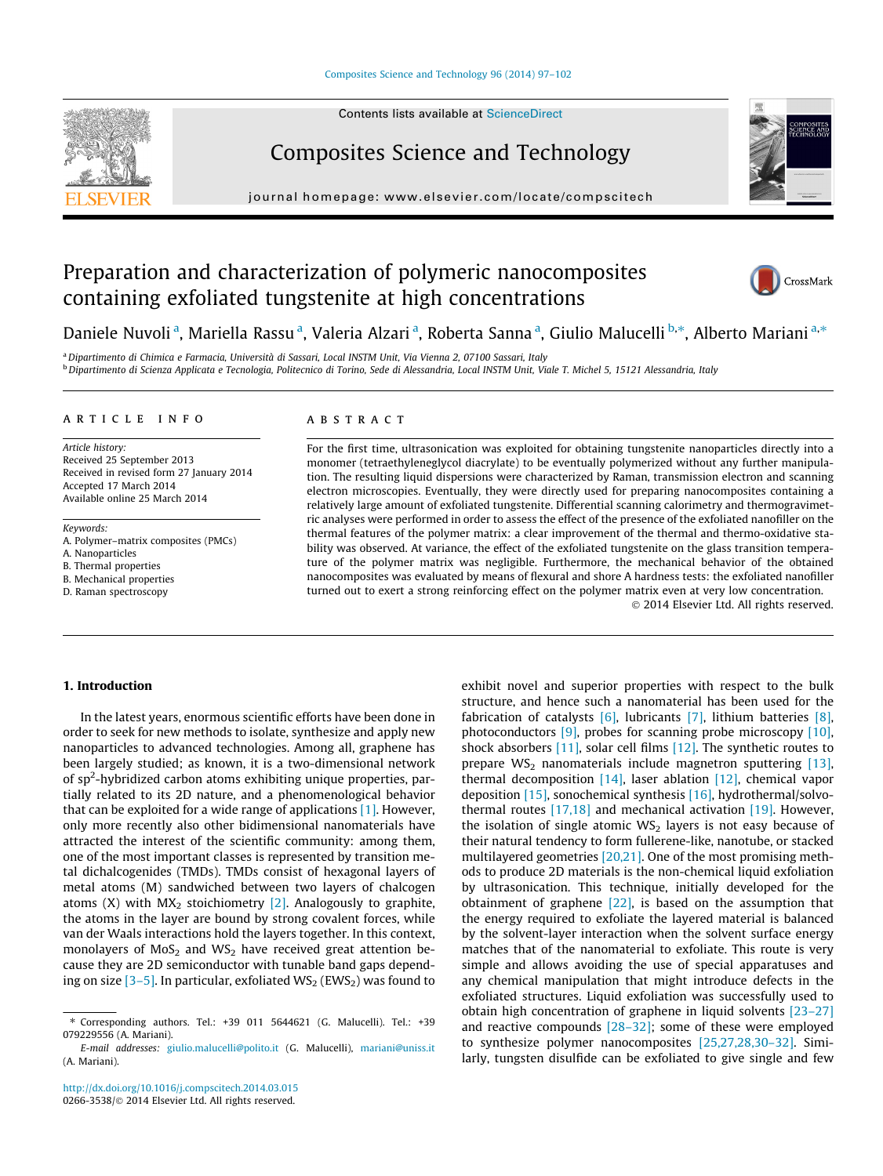#### [Composites Science and Technology 96 \(2014\) 97–102](http://dx.doi.org/10.1016/j.compscitech.2014.03.015)





Composites Science and Technology

journal homepage: [www.elsevier.com/locate/compscitech](http://www.elsevier.com/locate/compscitech)



# Preparation and characterization of polymeric nanocomposites containing exfoliated tungstenite at high concentrations



Daniele Nuvoli <sup>a</sup>, Mariella Rassu <sup>a</sup>, Valeria Alzari <sup>a</sup>, Roberta Sanna <sup>a</sup>, Giulio Malucelli <sup>b,</sup>\*, Alberto Mariani <sup>a,</sup>\*

a Dipartimento di Chimica e Farmacia, Università di Sassari, Local INSTM Unit, Via Vienna 2, 07100 Sassari, Italy <sup>b</sup> Dipartimento di Scienza Applicata e Tecnologia, Politecnico di Torino, Sede di Alessandria, Local INSTM Unit, Viale T. Michel 5, 15121 Alessandria, Italy

#### article info

Article history: Received 25 September 2013 Received in revised form 27 January 2014 Accepted 17 March 2014 Available online 25 March 2014

Keywords:

A. Polymer–matrix composites (PMCs) A. Nanoparticles

B. Thermal properties

B. Mechanical properties

D. Raman spectroscopy

## ABSTRACT

For the first time, ultrasonication was exploited for obtaining tungstenite nanoparticles directly into a monomer (tetraethyleneglycol diacrylate) to be eventually polymerized without any further manipulation. The resulting liquid dispersions were characterized by Raman, transmission electron and scanning electron microscopies. Eventually, they were directly used for preparing nanocomposites containing a relatively large amount of exfoliated tungstenite. Differential scanning calorimetry and thermogravimetric analyses were performed in order to assess the effect of the presence of the exfoliated nanofiller on the thermal features of the polymer matrix: a clear improvement of the thermal and thermo-oxidative stability was observed. At variance, the effect of the exfoliated tungstenite on the glass transition temperature of the polymer matrix was negligible. Furthermore, the mechanical behavior of the obtained nanocomposites was evaluated by means of flexural and shore A hardness tests: the exfoliated nanofiller turned out to exert a strong reinforcing effect on the polymer matrix even at very low concentration.

- 2014 Elsevier Ltd. All rights reserved.

## 1. Introduction

In the latest years, enormous scientific efforts have been done in order to seek for new methods to isolate, synthesize and apply new nanoparticles to advanced technologies. Among all, graphene has been largely studied; as known, it is a two-dimensional network of sp<sup>2</sup>-hybridized carbon atoms exhibiting unique properties, partially related to its 2D nature, and a phenomenological behavior that can be exploited for a wide range of applications  $[1]$ . However, only more recently also other bidimensional nanomaterials have attracted the interest of the scientific community: among them, one of the most important classes is represented by transition metal dichalcogenides (TMDs). TMDs consist of hexagonal layers of metal atoms (M) sandwiched between two layers of chalcogen atoms (X) with  $MX_2$  stoichiometry [\[2\]](#page-5-0). Analogously to graphite, the atoms in the layer are bound by strong covalent forces, while van der Waals interactions hold the layers together. In this context, monolayers of  $MoS<sub>2</sub>$  and WS<sub>2</sub> have received great attention because they are 2D semiconductor with tunable band gaps depending on size  $[3-5]$ . In particular, exfoliated  $WS_2$  (EWS<sub>2</sub>) was found to

exhibit novel and superior properties with respect to the bulk structure, and hence such a nanomaterial has been used for the fabrication of catalysts [\[6\],](#page-5-0) lubricants [\[7\],](#page-5-0) lithium batteries [\[8\],](#page-5-0) photoconductors [\[9\]](#page-5-0), probes for scanning probe microscopy [\[10\],](#page-5-0) shock absorbers [\[11\],](#page-5-0) solar cell films [\[12\]](#page-5-0). The synthetic routes to prepare  $WS_2$  nanomaterials include magnetron sputtering [\[13\],](#page-5-0) thermal decomposition  $[14]$ , laser ablation  $[12]$ , chemical vapor deposition [\[15\]](#page-5-0), sonochemical synthesis [\[16\]](#page-5-0), hydrothermal/solvothermal routes [\[17,18\]](#page-5-0) and mechanical activation [\[19\].](#page-5-0) However, the isolation of single atomic  $WS_2$  layers is not easy because of their natural tendency to form fullerene-like, nanotube, or stacked multilayered geometries [\[20,21\].](#page-5-0) One of the most promising methods to produce 2D materials is the non-chemical liquid exfoliation by ultrasonication. This technique, initially developed for the obtainment of graphene [\[22\]](#page-5-0), is based on the assumption that the energy required to exfoliate the layered material is balanced by the solvent-layer interaction when the solvent surface energy matches that of the nanomaterial to exfoliate. This route is very simple and allows avoiding the use of special apparatuses and any chemical manipulation that might introduce defects in the exfoliated structures. Liquid exfoliation was successfully used to obtain high concentration of graphene in liquid solvents [\[23–27\]](#page-5-0) and reactive compounds [\[28–32\]](#page-5-0); some of these were employed to synthesize polymer nanocomposites [\[25,27,28,30–32\].](#page-5-0) Similarly, tungsten disulfide can be exfoliated to give single and few

<sup>⇑</sup> Corresponding authors. Tel.: +39 011 5644621 (G. Malucelli). Tel.: +39 079229556 (A. Mariani).

E-mail addresses: [giulio.malucelli@polito.it](mailto:giulio.malucelli@polito.it) (G. Malucelli), [mariani@uniss.it](mailto:mariani@uniss.it) (A. Mariani).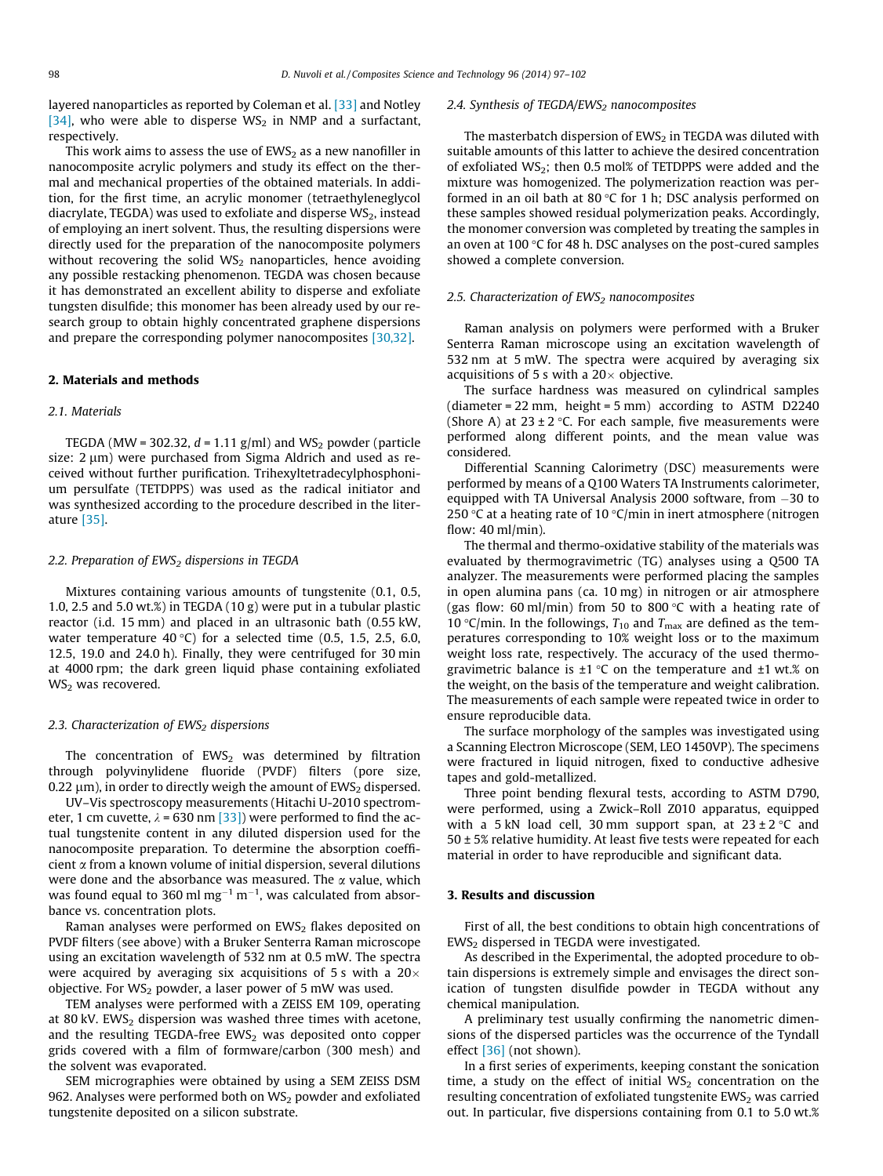layered nanoparticles as reported by Coleman et al. [\[33\]](#page-5-0) and Notley [\[34\]](#page-5-0), who were able to disperse  $WS_2$  in NMP and a surfactant, respectively.

This work aims to assess the use of  $EWS<sub>2</sub>$  as a new nanofiller in nanocomposite acrylic polymers and study its effect on the thermal and mechanical properties of the obtained materials. In addition, for the first time, an acrylic monomer (tetraethyleneglycol diacrylate, TEGDA) was used to exfoliate and disperse  $WS<sub>2</sub>$ , instead of employing an inert solvent. Thus, the resulting dispersions were directly used for the preparation of the nanocomposite polymers without recovering the solid  $WS_2$  nanoparticles, hence avoiding any possible restacking phenomenon. TEGDA was chosen because it has demonstrated an excellent ability to disperse and exfoliate tungsten disulfide; this monomer has been already used by our research group to obtain highly concentrated graphene dispersions and prepare the corresponding polymer nanocomposites [\[30,32\].](#page-5-0)

## 2. Materials and methods

## 2.1. Materials

TEGDA (MW = 302.32,  $d = 1.11$  g/ml) and WS<sub>2</sub> powder (particle size:  $2 \mu m$ ) were purchased from Sigma Aldrich and used as received without further purification. Trihexyltetradecylphosphonium persulfate (TETDPPS) was used as the radical initiator and was synthesized according to the procedure described in the literature [\[35\].](#page-5-0)

#### 2.2. Preparation of  $EWS<sub>2</sub>$  dispersions in TEGDA

Mixtures containing various amounts of tungstenite (0.1, 0.5, 1.0, 2.5 and 5.0 wt.%) in TEGDA (10 g) were put in a tubular plastic reactor (i.d. 15 mm) and placed in an ultrasonic bath (0.55 kW, water temperature 40 °C) for a selected time  $(0.5, 1.5, 2.5, 6.0, 1.5)$ 12.5, 19.0 and 24.0 h). Finally, they were centrifuged for 30 min at 4000 rpm; the dark green liquid phase containing exfoliated  $WS<sub>2</sub>$  was recovered.

#### 2.3. Characterization of  $EWS<sub>2</sub>$  dispersions

The concentration of  $EWS_2$  was determined by filtration through polyvinylidene fluoride (PVDF) filters (pore size, 0.22  $\mu$ m), in order to directly weigh the amount of EWS<sub>2</sub> dispersed.

UV–Vis spectroscopy measurements (Hitachi U-2010 spectrometer, 1 cm cuvette,  $\lambda$  = 630 nm [\[33\]\)](#page-5-0) were performed to find the actual tungstenite content in any diluted dispersion used for the nanocomposite preparation. To determine the absorption coefficient a from a known volume of initial dispersion, several dilutions were done and the absorbance was measured. The  $\alpha$  value, which was found equal to 360 ml mg $^{-1}$  m $^{-1}$ , was calculated from absorbance vs. concentration plots.

Raman analyses were performed on  $EWS_2$  flakes deposited on PVDF filters (see above) with a Bruker Senterra Raman microscope using an excitation wavelength of 532 nm at 0.5 mW. The spectra were acquired by averaging six acquisitions of 5 s with a  $20\times$ objective. For  $WS_2$  powder, a laser power of 5 mW was used.

TEM analyses were performed with a ZEISS EM 109, operating at 80 kV. EWS<sub>2</sub> dispersion was washed three times with acetone, and the resulting TEGDA-free EWS $_2$  was deposited onto copper grids covered with a film of formware/carbon (300 mesh) and the solvent was evaporated.

SEM micrographies were obtained by using a SEM ZEISS DSM 962. Analyses were performed both on  $WS_2$  powder and exfoliated tungstenite deposited on a silicon substrate.

#### 2.4. Synthesis of TEGDA/EWS<sub>2</sub> nanocomposites

The masterbatch dispersion of  $EWS<sub>2</sub>$  in TEGDA was diluted with suitable amounts of this latter to achieve the desired concentration of exfoliated  $WS_2$ ; then 0.5 mol% of TETDPPS were added and the mixture was homogenized. The polymerization reaction was performed in an oil bath at 80  $\degree$ C for 1 h; DSC analysis performed on these samples showed residual polymerization peaks. Accordingly, the monomer conversion was completed by treating the samples in an oven at 100 $\degree$ C for 48 h. DSC analyses on the post-cured samples showed a complete conversion.

## 2.5. Characterization of  $EWS<sub>2</sub>$  nanocomposites

Raman analysis on polymers were performed with a Bruker Senterra Raman microscope using an excitation wavelength of 532 nm at 5 mW. The spectra were acquired by averaging six acquisitions of 5 s with a  $20\times$  objective.

The surface hardness was measured on cylindrical samples (diameter = 22 mm, height = 5 mm) according to ASTM D2240 (Shore A) at  $23 \pm 2$  °C. For each sample, five measurements were performed along different points, and the mean value was considered.

Differential Scanning Calorimetry (DSC) measurements were performed by means of a Q100 Waters TA Instruments calorimeter, equipped with TA Universal Analysis 2000 software, from –30 to 250 °C at a heating rate of 10 °C/min in inert atmosphere (nitrogen flow:  $40$  ml/min).

The thermal and thermo-oxidative stability of the materials was evaluated by thermogravimetric (TG) analyses using a Q500 TA analyzer. The measurements were performed placing the samples in open alumina pans (ca. 10 mg) in nitrogen or air atmosphere (gas flow: 60 ml/min) from 50 to 800 °C with a heating rate of 10 °C/min. In the followings,  $T_{10}$  and  $T_{\text{max}}$  are defined as the temperatures corresponding to 10% weight loss or to the maximum weight loss rate, respectively. The accuracy of the used thermogravimetric balance is  $\pm 1$  °C on the temperature and  $\pm 1$  wt.% on the weight, on the basis of the temperature and weight calibration. The measurements of each sample were repeated twice in order to ensure reproducible data.

The surface morphology of the samples was investigated using a Scanning Electron Microscope (SEM, LEO 1450VP). The specimens were fractured in liquid nitrogen, fixed to conductive adhesive tapes and gold-metallized.

Three point bending flexural tests, according to ASTM D790, were performed, using a Zwick–Roll Z010 apparatus, equipped with a 5 kN load cell, 30 mm support span, at  $23 \pm 2$  °C and  $50 \pm 5\%$  relative humidity. At least five tests were repeated for each material in order to have reproducible and significant data.

## 3. Results and discussion

First of all, the best conditions to obtain high concentrations of EWS2 dispersed in TEGDA were investigated.

As described in the Experimental, the adopted procedure to obtain dispersions is extremely simple and envisages the direct sonication of tungsten disulfide powder in TEGDA without any chemical manipulation.

A preliminary test usually confirming the nanometric dimensions of the dispersed particles was the occurrence of the Tyndall effect [\[36\]](#page-5-0) (not shown).

In a first series of experiments, keeping constant the sonication time, a study on the effect of initial  $WS_2$  concentration on the resulting concentration of exfoliated tungstenite EWS<sub>2</sub> was carried out. In particular, five dispersions containing from 0.1 to 5.0 wt.%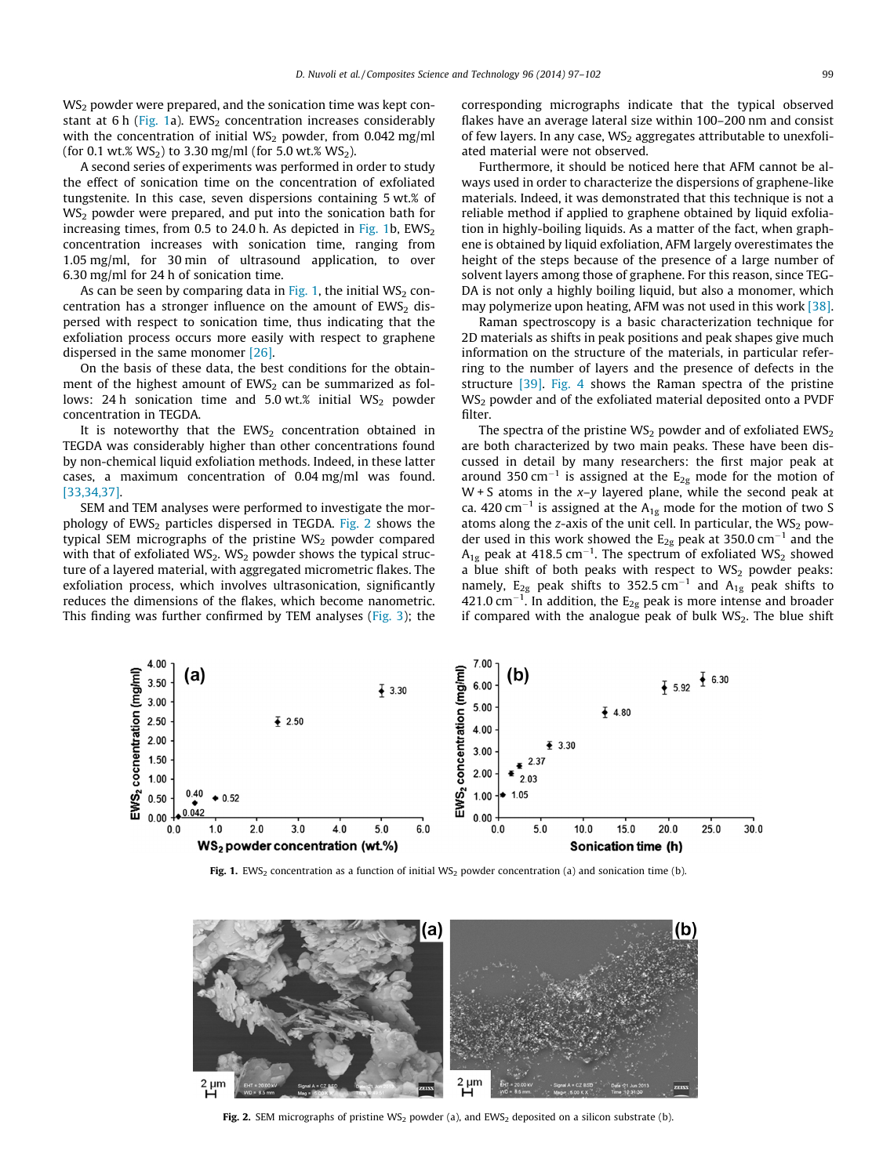$WS<sub>2</sub>$  powder were prepared, and the sonication time was kept constant at 6 h ( $Fig. 1a$ ). EWS<sub>2</sub> concentration increases considerably with the concentration of initial  $WS_2$  powder, from 0.042 mg/ml (for 0.1 wt.%  $WS_2$ ) to 3.30 mg/ml (for 5.0 wt.%  $WS_2$ ).

A second series of experiments was performed in order to study the effect of sonication time on the concentration of exfoliated tungstenite. In this case, seven dispersions containing 5 wt.% of  $WS<sub>2</sub>$  powder were prepared, and put into the sonication bath for increasing times, from 0.5 to 24.0 h. As depicted in Fig. 1b,  $EWS_2$ concentration increases with sonication time, ranging from 1.05 mg/ml, for 30 min of ultrasound application, to over 6.30 mg/ml for 24 h of sonication time.

As can be seen by comparing data in Fig. 1, the initial  $WS_2$  concentration has a stronger influence on the amount of  $EWS_2$  dispersed with respect to sonication time, thus indicating that the exfoliation process occurs more easily with respect to graphene dispersed in the same monomer [\[26\].](#page-5-0)

On the basis of these data, the best conditions for the obtainment of the highest amount of  $EWS<sub>2</sub>$  can be summarized as follows: 24 h sonication time and  $5.0$  wt.% initial WS<sub>2</sub> powder concentration in TEGDA.

It is noteworthy that the  $EWS_2$  concentration obtained in TEGDA was considerably higher than other concentrations found by non-chemical liquid exfoliation methods. Indeed, in these latter cases, a maximum concentration of 0.04 mg/ml was found. [\[33,34,37\].](#page-5-0)

SEM and TEM analyses were performed to investigate the morphology of  $EWS_2$  particles dispersed in TEGDA. Fig. 2 shows the typical SEM micrographs of the pristine  $WS<sub>2</sub>$  powder compared with that of exfoliated  $WS_2$ . WS<sub>2</sub> powder shows the typical structure of a layered material, with aggregated micrometric flakes. The exfoliation process, which involves ultrasonication, significantly reduces the dimensions of the flakes, which become nanometric. This finding was further confirmed by TEM analyses [\(Fig. 3](#page-3-0)); the corresponding micrographs indicate that the typical observed flakes have an average lateral size within 100–200 nm and consist of few layers. In any case,  $WS<sub>2</sub>$  aggregates attributable to unexfoliated material were not observed.

Furthermore, it should be noticed here that AFM cannot be always used in order to characterize the dispersions of graphene-like materials. Indeed, it was demonstrated that this technique is not a reliable method if applied to graphene obtained by liquid exfoliation in highly-boiling liquids. As a matter of the fact, when graphene is obtained by liquid exfoliation, AFM largely overestimates the height of the steps because of the presence of a large number of solvent layers among those of graphene. For this reason, since TEG-DA is not only a highly boiling liquid, but also a monomer, which may polymerize upon heating, AFM was not used in this work [\[38\].](#page-5-0)

Raman spectroscopy is a basic characterization technique for 2D materials as shifts in peak positions and peak shapes give much information on the structure of the materials, in particular referring to the number of layers and the presence of defects in the structure [\[39\].](#page-5-0) [Fig. 4](#page-3-0) shows the Raman spectra of the pristine WS<sub>2</sub> powder and of the exfoliated material deposited onto a PVDF filter.

The spectra of the pristine  $WS_2$  powder and of exfoliated  $EWS_2$ are both characterized by two main peaks. These have been discussed in detail by many researchers: the first major peak at around 350 cm<sup>-1</sup> is assigned at the  $E_{2g}$  mode for the motion of  $W + S$  atoms in the  $x-y$  layered plane, while the second peak at ca. 420 cm<sup>-1</sup> is assigned at the  $A_{1g}$  mode for the motion of two S atoms along the z-axis of the unit cell. In particular, the  $WS_2$  powder used in this work showed the  $E_{2g}$  peak at 350.0 cm<sup>-1</sup> and the  $A_{1g}$  peak at 418.5 cm<sup>-1</sup>. The spectrum of exfoliated WS<sub>2</sub> showed a blue shift of both peaks with respect to  $WS_2$  powder peaks: namely,  $E_{2g}$  peak shifts to 352.5 cm<sup>-1</sup> and  $A_{1g}$  peak shifts to 421.0 cm<sup>-1</sup>. In addition, the  $\text{E}_{\text{2g}}$  peak is more intense and broader if compared with the analogue peak of bulk WS2. The blue shift



Fig. 1. EWS<sub>2</sub> concentration as a function of initial WS<sub>2</sub> powder concentration (a) and sonication time (b).



Fig. 2. SEM micrographs of pristine WS<sub>2</sub> powder (a), and EWS<sub>2</sub> deposited on a silicon substrate (b).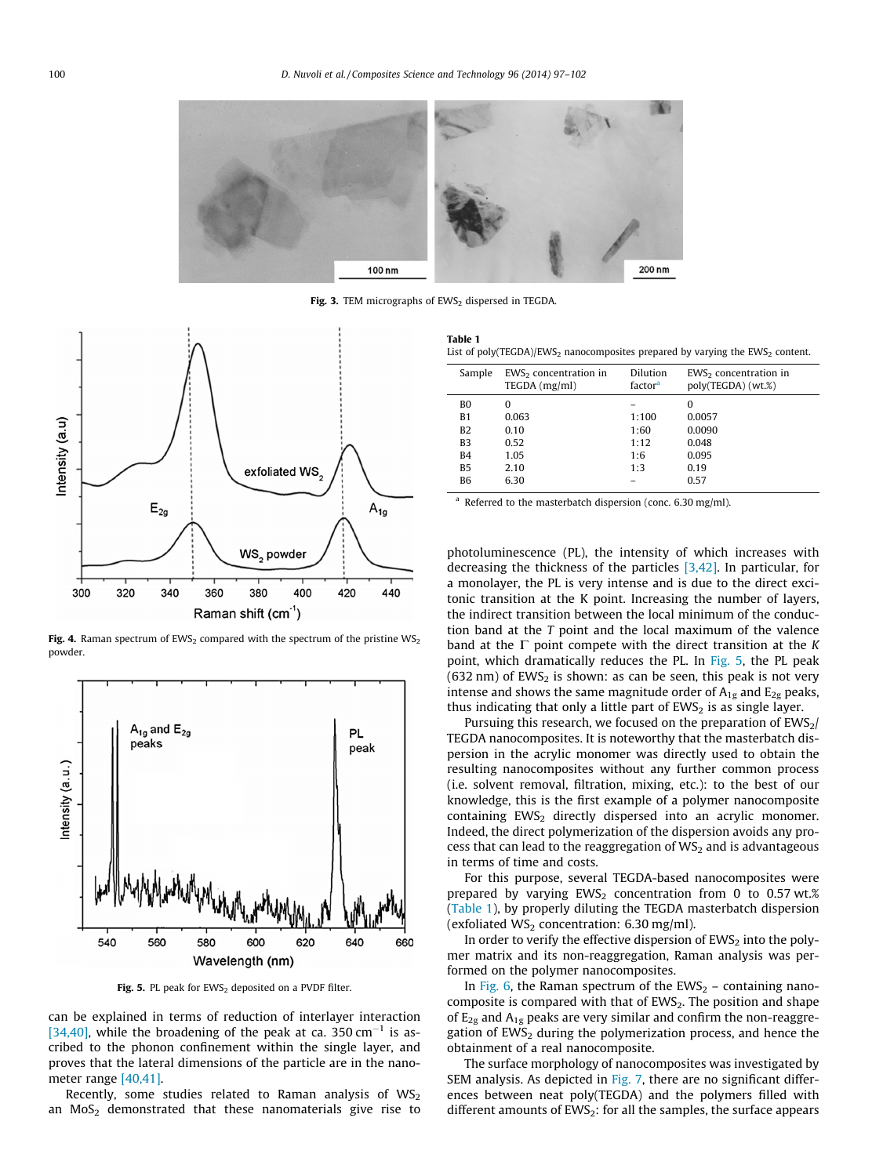<span id="page-3-0"></span>

Fig. 3. TEM micrographs of  $EWS_2$  dispersed in TEGDA



Fig. 4. Raman spectrum of EWS<sub>2</sub> compared with the spectrum of the pristine WS<sub>2</sub> powder.



Fig. 5. PL peak for  $EWS_2$  deposited on a PVDF filter.

can be explained in terms of reduction of interlayer interaction [\[34,40\],](#page-5-0) while the broadening of the peak at ca. 350 cm<sup>-1</sup> is ascribed to the phonon confinement within the single layer, and proves that the lateral dimensions of the particle are in the nanometer range [\[40,41\]](#page-5-0).

Recently, some studies related to Raman analysis of  $WS_2$ an  $MoS<sub>2</sub>$  demonstrated that these nanomaterials give rise to

Table 1 List of poly(TEGDA)/EWS<sub>2</sub> nanocomposites prepared by varying the EWS<sub>2</sub> content.

| Sample         | $EWS2$ concentration in<br>TEGDA (mg/ml) | Dilution<br>factor <sup>a</sup> | $EWS2$ concentration in<br>poly(TEGDA) (wt.%) |  |
|----------------|------------------------------------------|---------------------------------|-----------------------------------------------|--|
| B <sub>0</sub> | 0                                        |                                 | 0                                             |  |
| <b>B1</b>      | 0.063                                    | 1:100                           | 0.0057                                        |  |
| <b>B2</b>      | 0.10                                     | 1:60                            | 0.0090                                        |  |
| B <sub>3</sub> | 0.52                                     | 1:12                            | 0.048                                         |  |
| B4             | 1.05                                     | 1:6                             | 0.095                                         |  |
| B <sub>5</sub> | 2.10                                     | 1:3                             | 0.19                                          |  |
| <b>B6</b>      | 6.30                                     |                                 | 0.57                                          |  |
|                |                                          |                                 |                                               |  |

Referred to the masterbatch dispersion (conc.  $6.30 \text{ me/ml}$ ).

photoluminescence (PL), the intensity of which increases with decreasing the thickness of the particles [\[3,42\].](#page-5-0) In particular, for a monolayer, the PL is very intense and is due to the direct excitonic transition at the K point. Increasing the number of layers, the indirect transition between the local minimum of the conduction band at the T point and the local maximum of the valence band at the  $\Gamma$  point compete with the direct transition at the K point, which dramatically reduces the PL. In Fig. 5, the PL peak  $(632 \text{ nm})$  of EWS<sub>2</sub> is shown: as can be seen, this peak is not very intense and shows the same magnitude order of  $A_{1g}$  and  $E_{2g}$  peaks, thus indicating that only a little part of  $EWS<sub>2</sub>$  is as single layer.

Pursuing this research, we focused on the preparation of  $EWS<sub>2</sub>/$ TEGDA nanocomposites. It is noteworthy that the masterbatch dispersion in the acrylic monomer was directly used to obtain the resulting nanocomposites without any further common process (i.e. solvent removal, filtration, mixing, etc.): to the best of our knowledge, this is the first example of a polymer nanocomposite containing  $EWS_2$  directly dispersed into an acrylic monomer. Indeed, the direct polymerization of the dispersion avoids any process that can lead to the reaggregation of  $WS_2$  and is advantageous in terms of time and costs.

For this purpose, several TEGDA-based nanocomposites were prepared by varying  $EWS_2$  concentration from 0 to 0.57 wt.% (Table 1), by properly diluting the TEGDA masterbatch dispersion (exfoliated  $WS_2$  concentration: 6.30 mg/ml).

In order to verify the effective dispersion of  $EWS<sub>2</sub>$  into the polymer matrix and its non-reaggregation, Raman analysis was performed on the polymer nanocomposites.

In [Fig. 6](#page-4-0), the Raman spectrum of the  $EWS_2$  – containing nanocomposite is compared with that of  $EWS_2$ . The position and shape of  $E_{2g}$  and  $A_{1g}$  peaks are very similar and confirm the non-reaggregation of  $EWS<sub>2</sub>$  during the polymerization process, and hence the obtainment of a real nanocomposite.

The surface morphology of nanocomposites was investigated by SEM analysis. As depicted in [Fig. 7](#page-4-0), there are no significant differences between neat poly(TEGDA) and the polymers filled with different amounts of  $EWS_2$ : for all the samples, the surface appears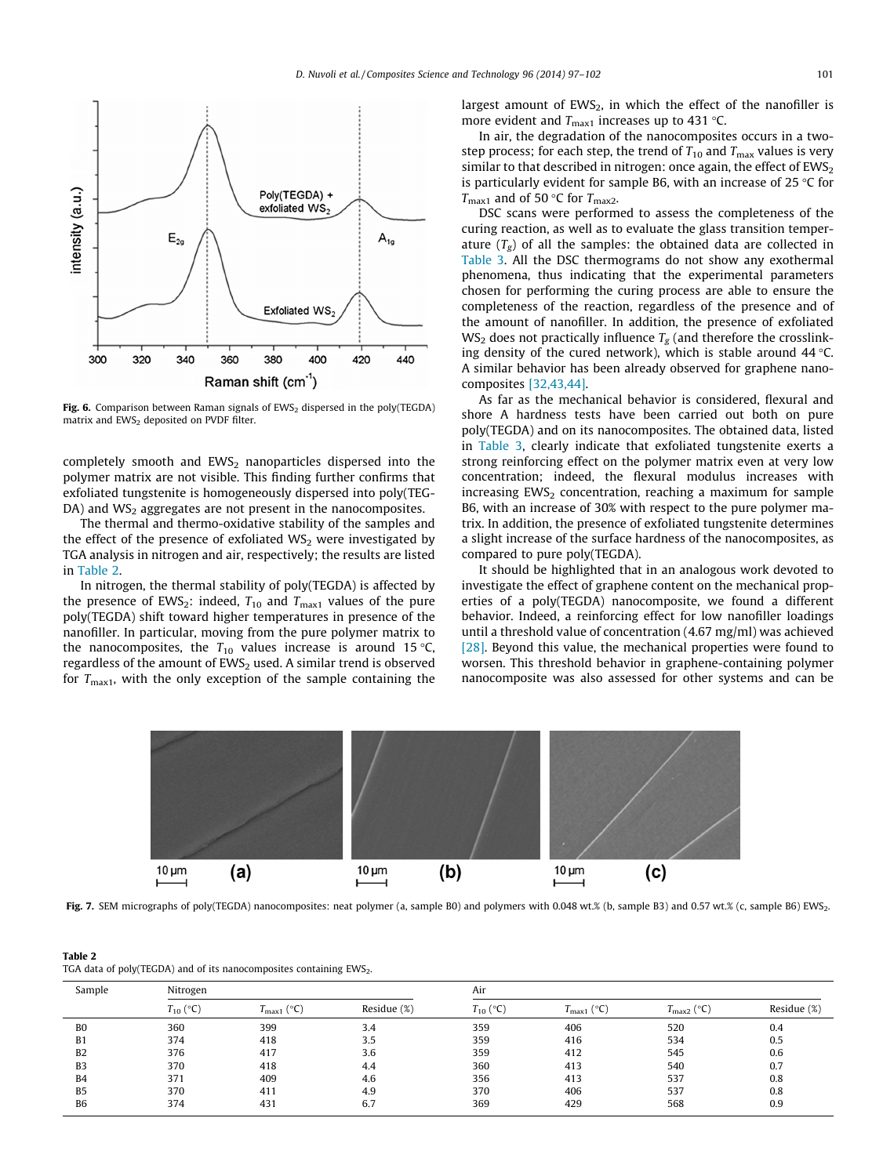<span id="page-4-0"></span>

Fig. 6. Comparison between Raman signals of  $EWS_2$  dispersed in the poly(TEGDA) matrix and  $EWS<sub>2</sub>$  deposited on PVDF filter.

completely smooth and EWS<sub>2</sub> nanoparticles dispersed into the polymer matrix are not visible. This finding further confirms that exfoliated tungstenite is homogeneously dispersed into poly(TEG- $DA$ ) and  $WS_2$  aggregates are not present in the nanocomposites.

The thermal and thermo-oxidative stability of the samples and the effect of the presence of exfoliated  $WS_2$  were investigated by TGA analysis in nitrogen and air, respectively; the results are listed in Table 2.

In nitrogen, the thermal stability of poly(TEGDA) is affected by the presence of EWS<sub>2</sub>: indeed,  $T_{10}$  and  $T_{\text{max1}}$  values of the pure poly(TEGDA) shift toward higher temperatures in presence of the nanofiller. In particular, moving from the pure polymer matrix to the nanocomposites, the  $T_{10}$  values increase is around 15 °C, regardless of the amount of  $EWS_2$  used. A similar trend is observed for  $T<sub>max1</sub>$ , with the only exception of the sample containing the largest amount of  $EWS<sub>2</sub>$ , in which the effect of the nanofiller is more evident and  $T_{\text{max1}}$  increases up to 431 °C.

In air, the degradation of the nanocomposites occurs in a twostep process; for each step, the trend of  $T_{10}$  and  $T_{\text{max}}$  values is very similar to that described in nitrogen: once again, the effect of  $EWS_2$ is particularly evident for sample B6, with an increase of 25  $\degree$ C for  $T_{\text{max1}}$  and of 50 °C for  $T_{\text{max2}}$ .

DSC scans were performed to assess the completeness of the curing reaction, as well as to evaluate the glass transition temperature  $(T_{\sigma})$  of all the samples: the obtained data are collected in [Table 3](#page-5-0). All the DSC thermograms do not show any exothermal phenomena, thus indicating that the experimental parameters chosen for performing the curing process are able to ensure the completeness of the reaction, regardless of the presence and of the amount of nanofiller. In addition, the presence of exfoliated  $WS_2$  does not practically influence  $T_g$  (and therefore the crosslinking density of the cured network), which is stable around  $44^{\circ}$ C. A similar behavior has been already observed for graphene nanocomposites [\[32,43,44\]](#page-5-0).

As far as the mechanical behavior is considered, flexural and shore A hardness tests have been carried out both on pure poly(TEGDA) and on its nanocomposites. The obtained data, listed in [Table 3,](#page-5-0) clearly indicate that exfoliated tungstenite exerts a strong reinforcing effect on the polymer matrix even at very low concentration; indeed, the flexural modulus increases with increasing  $EWS_2$  concentration, reaching a maximum for sample B6, with an increase of 30% with respect to the pure polymer matrix. In addition, the presence of exfoliated tungstenite determines a slight increase of the surface hardness of the nanocomposites, as compared to pure poly(TEGDA).

It should be highlighted that in an analogous work devoted to investigate the effect of graphene content on the mechanical properties of a poly(TEGDA) nanocomposite, we found a different behavior. Indeed, a reinforcing effect for low nanofiller loadings until a threshold value of concentration (4.67 mg/ml) was achieved [\[28\]](#page-5-0). Beyond this value, the mechanical properties were found to worsen. This threshold behavior in graphene-containing polymer nanocomposite was also assessed for other systems and can be



Fig. 7. SEM micrographs of poly(TEGDA) nanocomposites: neat polymer (a, sample B0) and polymers with 0.048 wt.% (b, sample B3) and 0.57 wt.% (c, sample B6) EWS<sub>2</sub>.

| Table 2                                                               |  |
|-----------------------------------------------------------------------|--|
| TGA data of poly(TEGDA) and of its nanocomposites containing $EWS2$ . |  |

| Sample         | Nitrogen      |                                       |             | Air           |                        |                          |             |
|----------------|---------------|---------------------------------------|-------------|---------------|------------------------|--------------------------|-------------|
|                | $T_{10}$ (°C) | $(^{\circ}C)$<br>m.<br>$I_{\rm max1}$ | Residue (%) | $T_{10}$ (°C) | $T_{\text{max1}}$ (°C) | (°C<br>$I_{\text{max2}}$ | Residue (%) |
| B <sub>0</sub> | 360           | 399                                   | 3.4         | 359           | 406                    | 520                      | 0.4         |
| B <sub>1</sub> | 374           | 418                                   | 3.5         | 359           | 416                    | 534                      | 0.5         |
| B <sub>2</sub> | 376           | 417                                   | 3.6         | 359           | 412                    | 545                      | 0.6         |
| B <sub>3</sub> | 370           | 418                                   | 4.4         | 360           | 413                    | 540                      | 0.7         |
| <b>B4</b>      | 371           | 409                                   | 4.6         | 356           | 413                    | 537                      | 0.8         |
| B <sub>5</sub> | 370           | 411                                   | 4.9         | 370           | 406                    | 537                      | 0.8         |
| <b>B6</b>      | 374           | 431                                   | 6.7         | 369           | 429                    | 568                      | 0.9         |